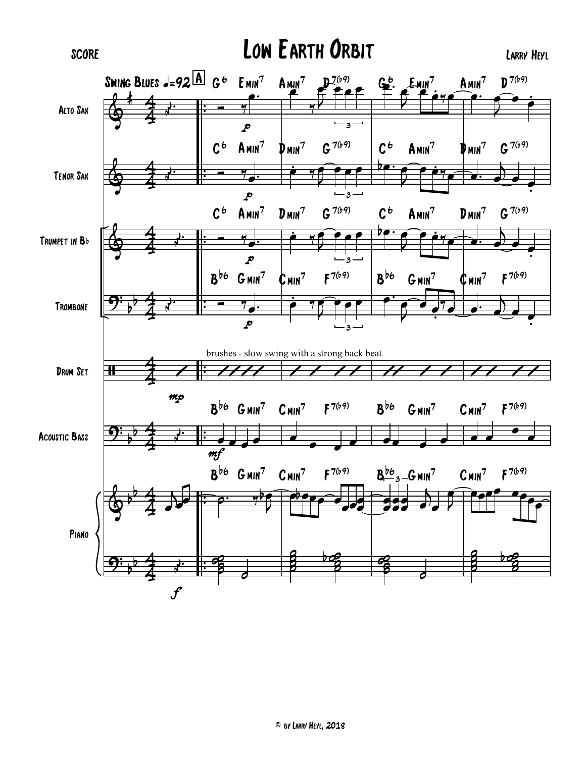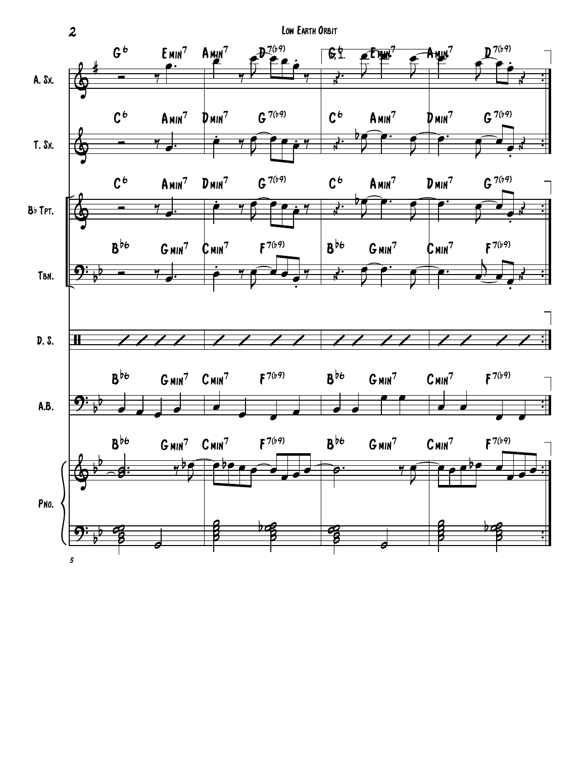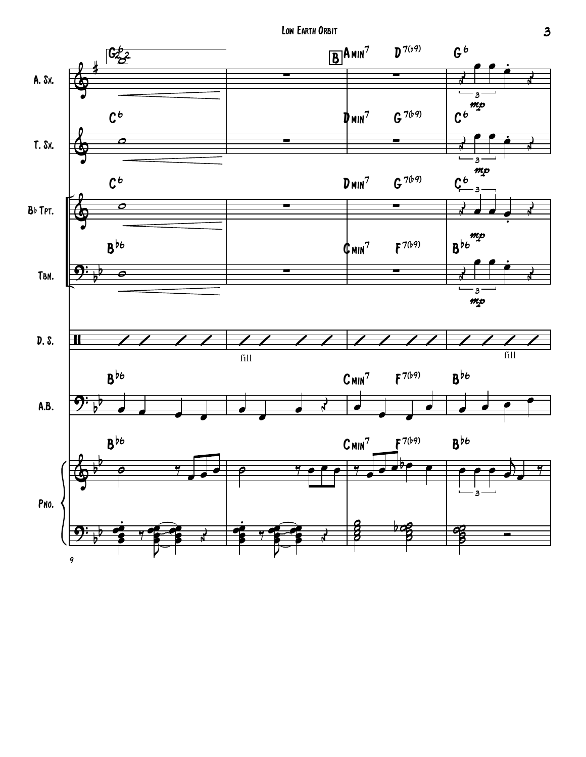LOW EARTH ORBIT

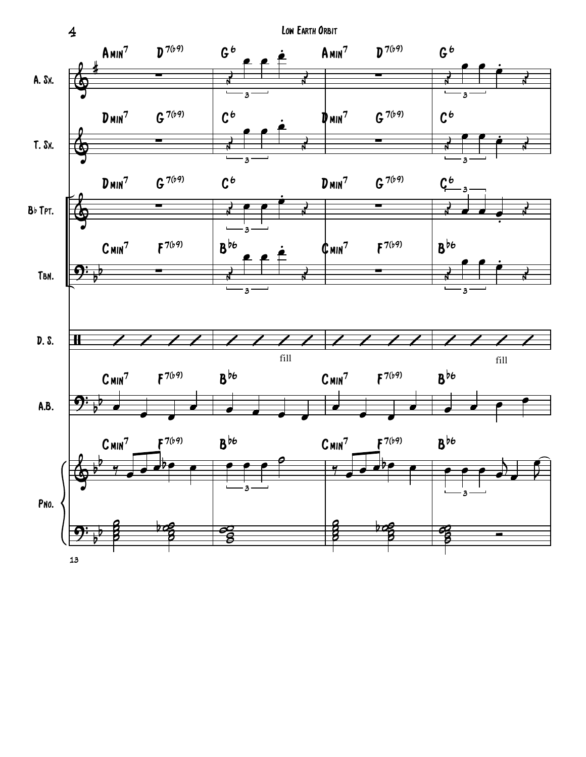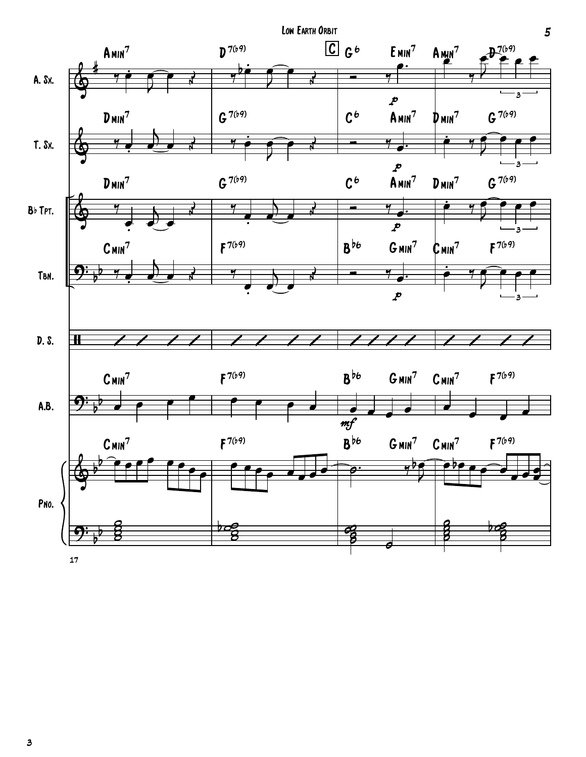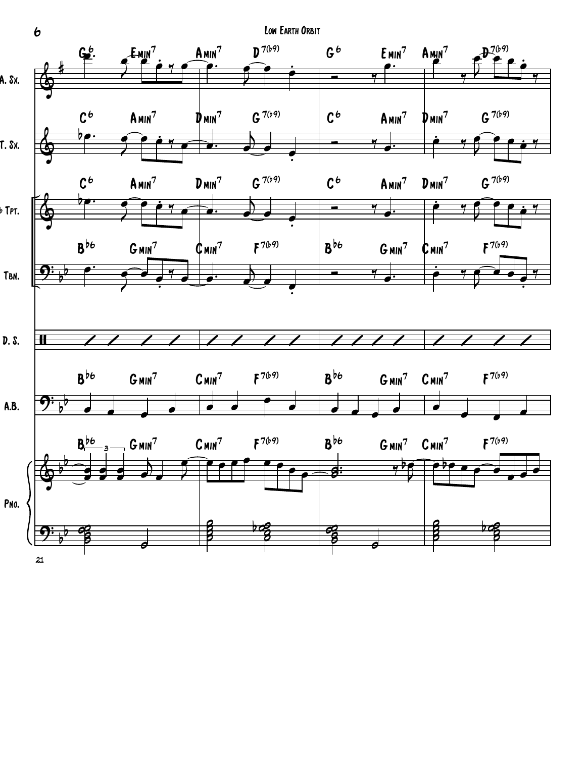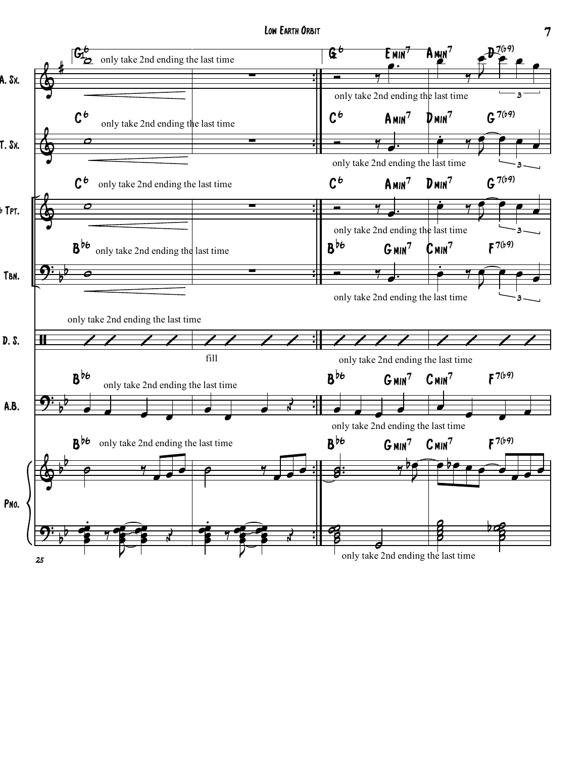LOW EARTH ORBIT